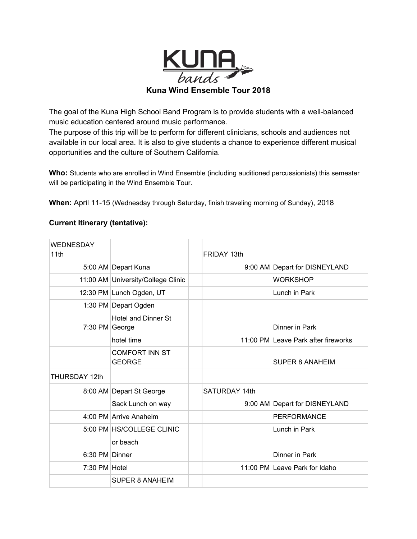

The goal of the Kuna High School Band Program is to provide students with a well-balanced music education centered around music performance.

The purpose of this trip will be to perform for different clinicians, schools and audiences not available in our local area. It is also to give students a chance to experience different musical opportunities and the culture of Southern California.

**Who:** Students who are enrolled in Wind Ensemble (including auditioned percussionists) this semester will be participating in the Wind Ensemble Tour.

**When:** April 11-15 (Wednesday through Saturday, finish traveling morning of Sunday), 2018

## **Current Itinerary (tentative):**

| WEDNESDAY<br>11th    |                                        | FRIDAY 13th   |                                     |
|----------------------|----------------------------------------|---------------|-------------------------------------|
|                      | 5:00 AM Depart Kuna                    |               | 9:00 AM Depart for DISNEYLAND       |
|                      | 11:00 AM University/College Clinic     |               | <b>WORKSHOP</b>                     |
|                      | 12:30 PM Lunch Ogden, UT               |               | Lunch in Park                       |
|                      | 1:30 PM Depart Ogden                   |               |                                     |
| 7:30 PM George       | <b>Hotel and Dinner St</b>             |               | Dinner in Park                      |
|                      | hotel time                             |               | 11:00 PM Leave Park after fireworks |
|                      | <b>COMFORT INN ST</b><br><b>GEORGE</b> |               | <b>SUPER 8 ANAHEIM</b>              |
| <b>THURSDAY 12th</b> |                                        |               |                                     |
|                      | 8:00 AM Depart St George               | SATURDAY 14th |                                     |
|                      | Sack Lunch on way                      |               | 9:00 AM Depart for DISNEYLAND       |
|                      | 4:00 PM Arrive Anaheim                 |               | <b>PERFORMANCE</b>                  |
|                      | 5:00 PM HS/COLLEGE CLINIC              |               | Lunch in Park                       |
|                      | or beach                               |               |                                     |
| 6:30 PM Dinner       |                                        |               | Dinner in Park                      |
| 7:30 PM Hotel        |                                        |               | 11:00 PM Leave Park for Idaho       |
|                      | <b>SUPER 8 ANAHEIM</b>                 |               |                                     |